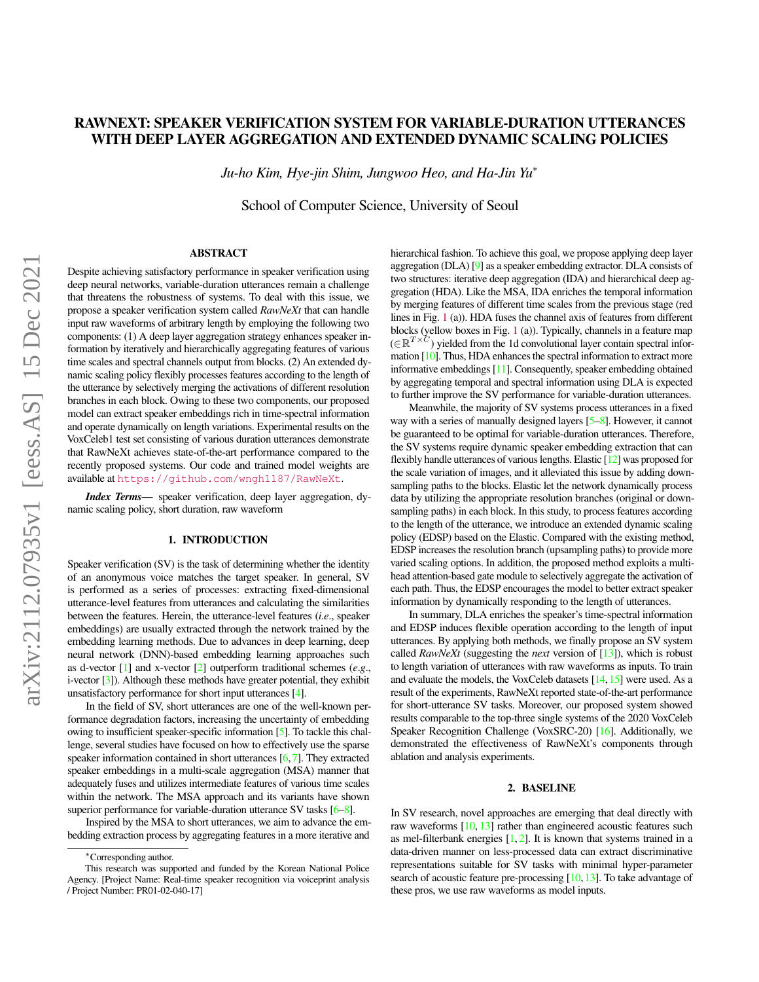# RAWNEXT: SPEAKER VERIFICATION SYSTEM FOR VARIABLE-DURATION UTTERANCES WITH DEEP LAYER AGGREGATION AND EXTENDED DYNAMIC SCALING POLICIES

*Ju-ho Kim, Hye-jin Shim, Jungwoo Heo, and Ha-Jin Yu*<sup>∗</sup>

School of Computer Science, University of Seoul

## ABSTRACT

Despite achieving satisfactory performance in speaker verification using deep neural networks, variable-duration utterances remain a challenge that threatens the robustness of systems. To deal with this issue, we propose a speaker verification system called *RawNeXt* that can handle input raw waveforms of arbitrary length by employing the following two components: (1) A deep layer aggregation strategy enhances speaker information by iteratively and hierarchically aggregating features of various time scales and spectral channels output from blocks. (2) An extended dynamic scaling policy flexibly processes features according to the length of the utterance by selectively merging the activations of different resolution branches in each block. Owing to these two components, our proposed model can extract speaker embeddings rich in time-spectral information and operate dynamically on length variations. Experimental results on the VoxCeleb1 test set consisting of various duration utterances demonstrate that RawNeXt achieves state-of-the-art performance compared to the recently proposed systems. Our code and trained model weights are available at <https://github.com/wngh1187/RawNeXt>.

*Index Terms*— speaker verification, deep layer aggregation, dynamic scaling policy, short duration, raw waveform

## 1. INTRODUCTION

Speaker verification (SV) is the task of determining whether the identity of an anonymous voice matches the target speaker. In general, SV is performed as a series of processes: extracting fixed-dimensional utterance-level features from utterances and calculating the similarities between the features. Herein, the utterance-level features (*i*.*e*., speaker embeddings) are usually extracted through the network trained by the embedding learning methods. Due to advances in deep learning, deep neural network (DNN)-based embedding learning approaches such as d-vector [\[1\]](#page-4-0) and x-vector [\[2\]](#page-4-1) outperform traditional schemes (*e*.*g*., i-vector [\[3\]](#page-4-2)). Although these methods have greater potential, they exhibit unsatisfactory performance for short input utterances [\[4\]](#page-4-3).

In the field of SV, short utterances are one of the well-known performance degradation factors, increasing the uncertainty of embedding owing to insufficient speaker-specific information [\[5\]](#page-4-4). To tackle this challenge, several studies have focused on how to effectively use the sparse speaker information contained in short utterances  $[6,7]$  $[6,7]$ . They extracted speaker embeddings in a multi-scale aggregation (MSA) manner that adequately fuses and utilizes intermediate features of various time scales within the network. The MSA approach and its variants have shown superior performance for variable-duration utterance SV tasks [\[6](#page-4-5)[–8\]](#page-4-7).

Inspired by the MSA to short utterances, we aim to advance the embedding extraction process by aggregating features in a more iterative and hierarchical fashion. To achieve this goal, we propose applying deep layer aggregation (DLA) [\[9\]](#page-4-8) as a speaker embedding extractor. DLA consists of two structures: iterative deep aggregation (IDA) and hierarchical deep aggregation (HDA). Like the MSA, IDA enriches the temporal information by merging features of different time scales from the previous stage (red lines in Fig. [1](#page-1-0) (a)). HDA fuses the channel axis of features from different blocks (yellow boxes in Fig. [1](#page-1-0) (a)). Typically, channels in a feature map  $(\in \mathbb{R}^{T \times C})$  yielded from the 1d convolutional layer contain spectral information [\[10\]](#page-4-9). Thus, HDA enhances the spectral information to extract more informative embeddings [\[11\]](#page-4-10). Consequently, speaker embedding obtained by aggregating temporal and spectral information using DLA is expected to further improve the SV performance for variable-duration utterances.

Meanwhile, the majority of SV systems process utterances in a fixed way with a series of manually designed layers [\[5–](#page-4-4)[8\]](#page-4-7). However, it cannot be guaranteed to be optimal for variable-duration utterances. Therefore, the SV systems require dynamic speaker embedding extraction that can flexibly handle utterances of various lengths. Elastic [\[12\]](#page-4-11) was proposed for the scale variation of images, and it alleviated this issue by adding downsampling paths to the blocks. Elastic let the network dynamically process data by utilizing the appropriate resolution branches (original or downsampling paths) in each block. In this study, to process features according to the length of the utterance, we introduce an extended dynamic scaling policy (EDSP) based on the Elastic. Compared with the existing method, EDSP increases the resolution branch (upsampling paths) to provide more varied scaling options. In addition, the proposed method exploits a multihead attention-based gate module to selectively aggregate the activation of each path. Thus, the EDSP encourages the model to better extract speaker information by dynamically responding to the length of utterances.

In summary, DLA enriches the speaker's time-spectral information and EDSP induces flexible operation according to the length of input utterances. By applying both methods, we finally propose an SV system called *RawNeXt* (suggesting the *next* version of [\[13\]](#page-4-12)), which is robust to length variation of utterances with raw waveforms as inputs. To train and evaluate the models, the VoxCeleb datasets  $[14, 15]$  $[14, 15]$  $[14, 15]$  were used. As a result of the experiments, RawNeXt reported state-of-the-art performance for short-utterance SV tasks. Moreover, our proposed system showed results comparable to the top-three single systems of the 2020 VoxCeleb Speaker Recognition Challenge (VoxSRC-20) [\[16\]](#page-4-15). Additionally, we demonstrated the effectiveness of RawNeXt's components through ablation and analysis experiments.

#### 2. BASELINE

In SV research, novel approaches are emerging that deal directly with raw waveforms [\[10,](#page-4-9) [13\]](#page-4-12) rather than engineered acoustic features such as mel-filterbank energies  $[1, 2]$  $[1, 2]$  $[1, 2]$ . It is known that systems trained in a data-driven manner on less-processed data can extract discriminative representations suitable for SV tasks with minimal hyper-parameter search of acoustic feature pre-processing  $[10,13]$  $[10,13]$ . To take advantage of these pros, we use raw waveforms as model inputs.

<sup>∗</sup>Corresponding author.

This research was supported and funded by the Korean National Police Agency. [Project Name: Real-time speaker recognition via voiceprint analysis / Project Number: PR01-02-040-17]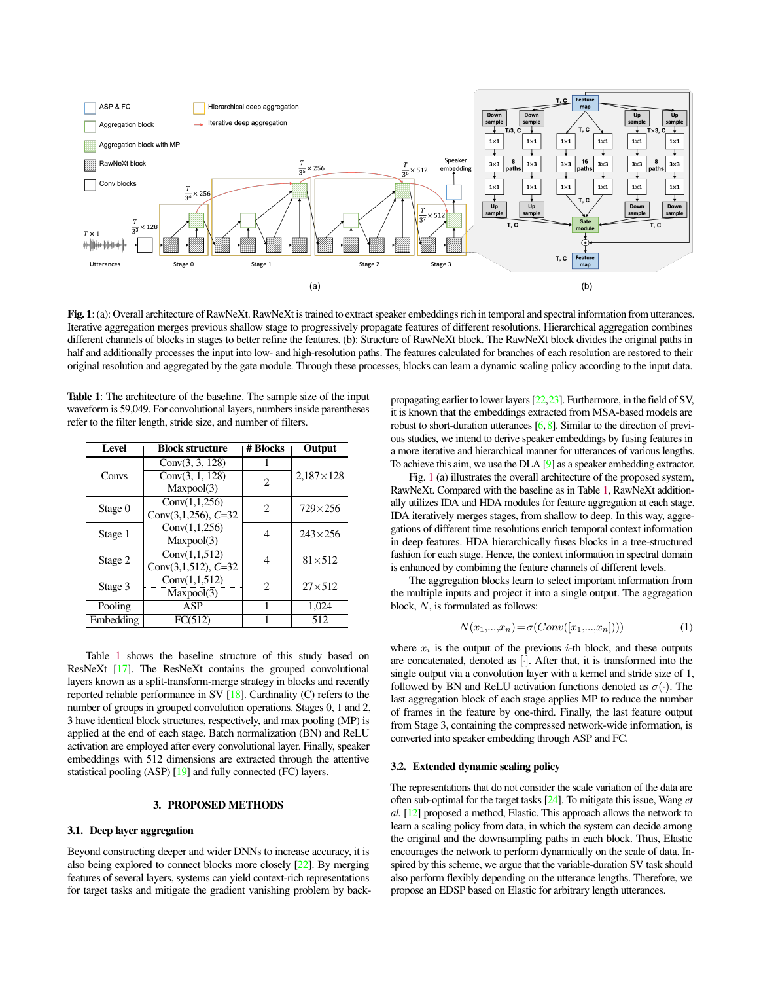<span id="page-1-0"></span>

Fig. 1: (a): Overall architecture of RawNeXt. RawNeXt is trained to extract speaker embeddings rich in temporal and spectral information from utterances. Iterative aggregation merges previous shallow stage to progressively propagate features of different resolutions. Hierarchical aggregation combines different channels of blocks in stages to better refine the features. (b): Structure of RawNeXt block. The RawNeXt block divides the original paths in half and additionally processes the input into low- and high-resolution paths. The features calculated for branches of each resolution are restored to their original resolution and aggregated by the gate module. Through these processes, blocks can learn a dynamic scaling policy according to the input data.

<span id="page-1-1"></span>Table 1: The architecture of the baseline. The sample size of the input waveform is 59,049. For convolutional layers, numbers inside parentheses refer to the filter length, stride size, and number of filters.

| <b>Level</b> | <b>Block structure</b>    | # Blocks                    | Output             |  |
|--------------|---------------------------|-----------------------------|--------------------|--|
| Convs        | Conv(3, 3, 128)           |                             | $2,187 \times 128$ |  |
|              | Conv(3, 1, 128)           | $\mathcal{D}_{\mathcal{L}}$ |                    |  |
|              | Maxpool(3)                |                             |                    |  |
| Stage 0      | Conv(1, 1, 256)           | $\mathcal{D}_{\mathcal{L}}$ | $729\times256$     |  |
|              | Conv $(3,1,256)$ , $C=32$ |                             |                    |  |
| Stage 1      | Conv(1, 1, 256)           |                             | $243 \times 256$   |  |
|              | $Maxpool(\overline{3})$   |                             |                    |  |
| Stage 2      | Conv(1, 1, 512)           | 4                           | $81\times512$      |  |
|              | Conv $(3,1,512)$ , $C=32$ |                             |                    |  |
| Stage 3      | Conv(1, 1, 512)           | 2                           | $27\times512$      |  |
|              | Maxpool(3)                |                             |                    |  |
| Pooling      | ASP                       |                             | 1.024              |  |
| Embedding    | FC(512)                   |                             | 512                |  |

Table [1](#page-1-1) shows the baseline structure of this study based on ResNeXt [\[17\]](#page-4-16). The ResNeXt contains the grouped convolutional layers known as a split-transform-merge strategy in blocks and recently reported reliable performance in SV [\[18\]](#page-4-17). Cardinality (C) refers to the number of groups in grouped convolution operations. Stages 0, 1 and 2, 3 have identical block structures, respectively, and max pooling (MP) is applied at the end of each stage. Batch normalization (BN) and ReLU activation are employed after every convolutional layer. Finally, speaker embeddings with 512 dimensions are extracted through the attentive statistical pooling (ASP) [\[19\]](#page-4-18) and fully connected (FC) layers.

# 3. PROPOSED METHODS

## 3.1. Deep layer aggregation

Beyond constructing deeper and wider DNNs to increase accuracy, it is also being explored to connect blocks more closely [\[22\]](#page-4-19). By merging features of several layers, systems can yield context-rich representations for target tasks and mitigate the gradient vanishing problem by backpropagating earlier to lower layers [\[22,](#page-4-19)[23\]](#page-4-20). Furthermore, in the field of SV, it is known that the embeddings extracted from MSA-based models are robust to short-duration utterances [\[6,](#page-4-5)[8\]](#page-4-7). Similar to the direction of previous studies, we intend to derive speaker embeddings by fusing features in a more iterative and hierarchical manner for utterances of various lengths. To achieve this aim, we use the DLA [\[9\]](#page-4-8) as a speaker embedding extractor.

Fig. [1](#page-1-0) (a) illustrates the overall architecture of the proposed system, RawNeXt. Compared with the baseline as in Table [1,](#page-1-1) RawNeXt additionally utilizes IDA and HDA modules for feature aggregation at each stage. IDA iteratively merges stages, from shallow to deep. In this way, aggregations of different time resolutions enrich temporal context information in deep features. HDA hierarchically fuses blocks in a tree-structured fashion for each stage. Hence, the context information in spectral domain is enhanced by combining the feature channels of different levels.

The aggregation blocks learn to select important information from the multiple inputs and project it into a single output. The aggregation block, N, is formulated as follows:

$$
N(x_1,...,x_n) = \sigma(Conv([x_1,...,x_n]))
$$
 (1)

where  $x_i$  is the output of the previous *i*-th block, and these outputs are concatenated, denoted as [·]. After that, it is transformed into the single output via a convolution layer with a kernel and stride size of 1, followed by BN and ReLU activation functions denoted as  $\sigma(\cdot)$ . The last aggregation block of each stage applies MP to reduce the number of frames in the feature by one-third. Finally, the last feature output from Stage 3, containing the compressed network-wide information, is converted into speaker embedding through ASP and FC.

### <span id="page-1-2"></span>3.2. Extended dynamic scaling policy

The representations that do not consider the scale variation of the data are often sub-optimal for the target tasks [\[24\]](#page-4-21). To mitigate this issue, Wang *et al.* [\[12\]](#page-4-11) proposed a method, Elastic. This approach allows the network to learn a scaling policy from data, in which the system can decide among the original and the downsampling paths in each block. Thus, Elastic encourages the network to perform dynamically on the scale of data. Inspired by this scheme, we argue that the variable-duration SV task should also perform flexibly depending on the utterance lengths. Therefore, we propose an EDSP based on Elastic for arbitrary length utterances.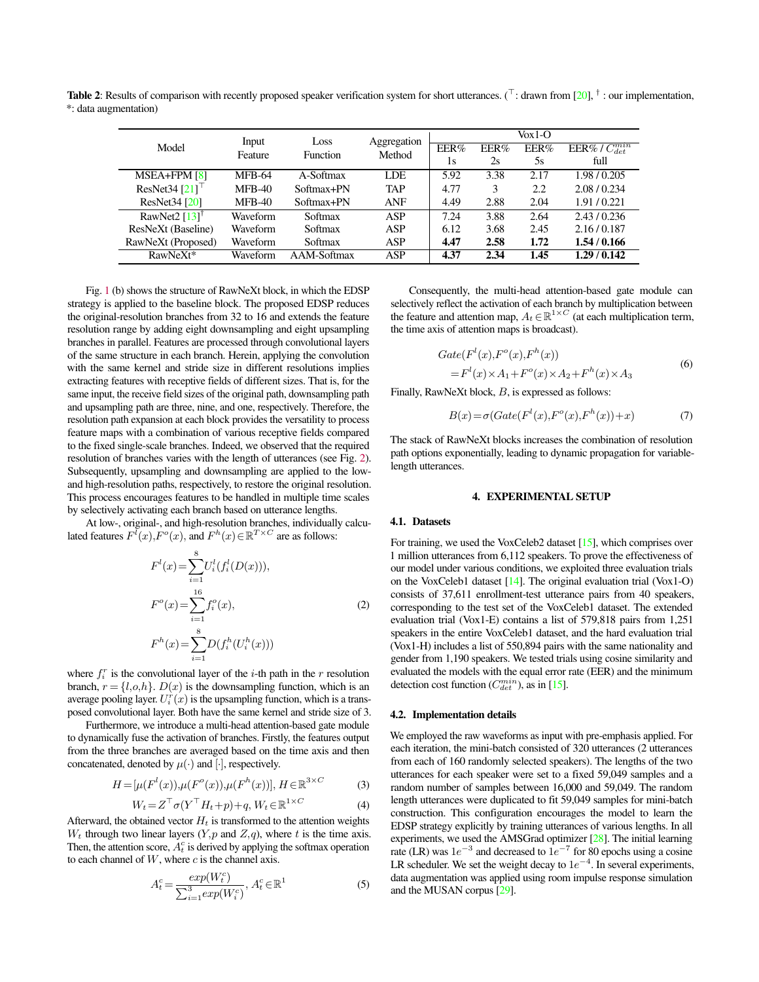<span id="page-2-0"></span>**Table 2**: Results of comparison with recently proposed speaker verification system for short utterances. ( $\top$ : drawn from [\[20\]](#page-4-22),  $\dagger$ : our implementation, \*: data augmentation)

| Model                        |                  | Loss<br><b>Function</b> | Aggregation<br>Method | $V_0x1-O$ |      |      |                         |
|------------------------------|------------------|-------------------------|-----------------------|-----------|------|------|-------------------------|
|                              | Input<br>Feature |                         |                       | EER%      | EER% | EER% | $EER\% / C_{det}^{min}$ |
|                              |                  |                         |                       | 1s        | 2s   | 5s   | full                    |
| $MSEA + FPM [8]$             | <b>MFB-64</b>    | A-Softmax               | LDE                   | 5.92      | 3.38 | 2.17 | 1.98/0.205              |
| ResNet34 $[21]$ <sup>1</sup> | $MFB-40$         | Softmax+PN              | <b>TAP</b>            | 4.77      | 3    | 2.2  | 2.08 / 0.234            |
| ResNet34 [20]                | MFB-40           | Softmax+PN              | <b>ANF</b>            | 4.49      | 2.88 | 2.04 | 1.91/0.221              |
| RawNet2 $[13]$ <sup>†</sup>  | Waveform         | Softmax                 | <b>ASP</b>            | 7.24      | 3.88 | 2.64 | 2.43/0.236              |
| ResNeXt (Baseline)           | Waveform         | Softmax                 | <b>ASP</b>            | 6.12      | 3.68 | 2.45 | 2.16/0.187              |
| RawNeXt (Proposed)           | Waveform         | Softmax                 | <b>ASP</b>            | 4.47      | 2.58 | 1.72 | 1.54/0.166              |
| RawNeXt*                     | Waveform         | AAM-Softmax             | ASP                   | 4.37      | 2.34 | 1.45 | 1.29/0.142              |

Fig. [1](#page-1-0) (b) shows the structure of RawNeXt block, in which the EDSP strategy is applied to the baseline block. The proposed EDSP reduces the original-resolution branches from 32 to 16 and extends the feature resolution range by adding eight downsampling and eight upsampling branches in parallel. Features are processed through convolutional layers of the same structure in each branch. Herein, applying the convolution with the same kernel and stride size in different resolutions implies extracting features with receptive fields of different sizes. That is, for the same input, the receive field sizes of the original path, downsampling path and upsampling path are three, nine, and one, respectively. Therefore, the resolution path expansion at each block provides the versatility to process feature maps with a combination of various receptive fields compared to the fixed single-scale branches. Indeed, we observed that the required resolution of branches varies with the length of utterances (see Fig. [2\)](#page-3-0). Subsequently, upsampling and downsampling are applied to the lowand high-resolution paths, respectively, to restore the original resolution. This process encourages features to be handled in multiple time scales by selectively activating each branch based on utterance lengths.

At low-, original-, and high-resolution branches, individually calculated features  $F^{l}(x)$ ,  $F^{o}(x)$ , and  $F^{h}(x) \in \mathbb{R}^{T \times C}$  are as follows:

$$
F^{l}(x) = \sum_{i=1}^{8} U_{i}^{l}(f_{i}^{l}(D(x))),
$$
  
\n
$$
F^{o}(x) = \sum_{i=1}^{16} f_{i}^{o}(x),
$$
  
\n
$$
F^{h}(x) = \sum_{i=1}^{8} D(f_{i}^{h}(U_{i}^{h}(x)))
$$
\n(2)

where  $f_i^r$  is the convolutional layer of the *i*-th path in the *r* resolution branch,  $r = \{l, o, h\}$ .  $D(x)$  is the downsampling function, which is an average pooling layer.  $U_i^r(x)$  is the upsampling function, which is a transposed convolutional layer. Both have the same kernel and stride size of 3.

Furthermore, we introduce a multi-head attention-based gate module to dynamically fuse the activation of branches. Firstly, the features output from the three branches are averaged based on the time axis and then concatenated, denoted by  $\mu(\cdot)$  and  $[\cdot]$ , respectively.

$$
H = [\mu(F^{l}(x)), \mu(F^{o}(x)), \mu(F^{h}(x))], H \in \mathbb{R}^{3 \times C}
$$
 (3)

$$
W_t = Z^\top \sigma (Y^\top H_t + p) + q, W_t \in \mathbb{R}^{1 \times C}
$$
 (4)

Afterward, the obtained vector  $H_t$  is transformed to the attention weights  $W_t$  through two linear layers  $(Y, p \text{ and } Z, q)$ , where t is the time axis. Then, the attention score,  $A_t^c$  is derived by applying the softmax operation to each channel of  $W$ , where  $c$  is the channel axis.

$$
A_t^c = \frac{exp(W_t^c)}{\sum_{i=1}^3 exp(W_i^c)}, A_t^c \in \mathbb{R}^1
$$
 (5)

Consequently, the multi-head attention-based gate module can selectively reflect the activation of each branch by multiplication between the feature and attention map,  $A_t \in \mathbb{R}^{1 \times C}$  (at each multiplication term, the time axis of attention maps is broadcast).

<span id="page-2-1"></span>
$$
Gate(F^l(x), F^o(x), F^h(x))
$$
  
=  $F^l(x) \times A_1 + F^o(x) \times A_2 + F^h(x) \times A_3$  (6)

Finally, RawNeXt block, B, is expressed as follows:

$$
B(x) = \sigma(Gate(F^l(x), F^o(x), F^h(x)) + x)
$$
 (7)

The stack of RawNeXt blocks increases the combination of resolution path options exponentially, leading to dynamic propagation for variablelength utterances.

## 4. EXPERIMENTAL SETUP

#### 4.1. Datasets

For training, we used the VoxCeleb2 dataset [\[15\]](#page-4-14), which comprises over 1 million utterances from 6,112 speakers. To prove the effectiveness of our model under various conditions, we exploited three evaluation trials on the VoxCeleb1 dataset  $[14]$ . The original evaluation trial (Vox1-O) consists of 37,611 enrollment-test utterance pairs from 40 speakers, corresponding to the test set of the VoxCeleb1 dataset. The extended evaluation trial (Vox1-E) contains a list of 579,818 pairs from 1,251 speakers in the entire VoxCeleb1 dataset, and the hard evaluation trial (Vox1-H) includes a list of 550,894 pairs with the same nationality and gender from 1,190 speakers. We tested trials using cosine similarity and evaluated the models with the equal error rate (EER) and the minimum detection cost function  $(C_{det}^{min})$ , as in [\[15\]](#page-4-14).

#### 4.2. Implementation details

We employed the raw waveforms as input with pre-emphasis applied. For each iteration, the mini-batch consisted of 320 utterances (2 utterances from each of 160 randomly selected speakers). The lengths of the two utterances for each speaker were set to a fixed 59,049 samples and a random number of samples between 16,000 and 59,049. The random length utterances were duplicated to fit 59,049 samples for mini-batch construction. This configuration encourages the model to learn the EDSP strategy explicitly by training utterances of various lengths. In all experiments, we used the AMSGrad optimizer [\[28\]](#page-4-24). The initial learning rate (LR) was  $1e^{-3}$  and decreased to  $1e^{-7}$  for 80 epochs using a cosine LR scheduler. We set the weight decay to  $1e^{-4}$ . In several experiments, data augmentation was applied using room impulse response simulation and the MUSAN corpus [\[29\]](#page-4-25).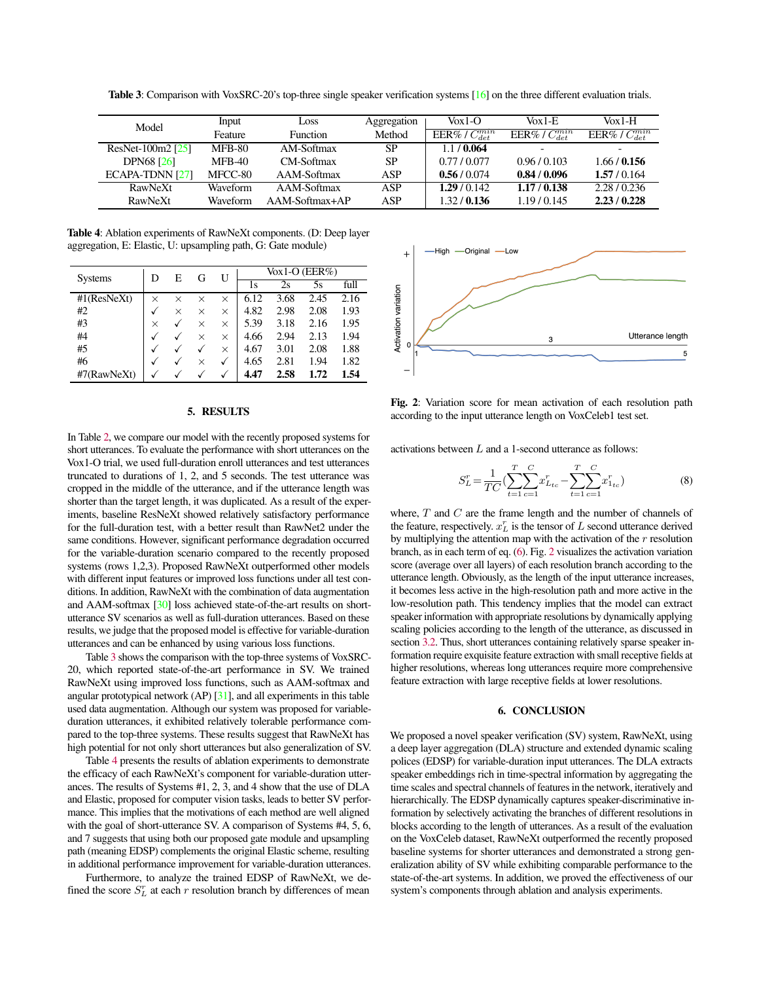| Model             | Input         | Loss             | Aggregation | $\text{Vox}$ 1-O      | $V_0x1-F$               | $V_0x1-H$             |
|-------------------|---------------|------------------|-------------|-----------------------|-------------------------|-----------------------|
|                   | Feature       | <b>Function</b>  | Method      | EER%/ $C_{det}^{min}$ | EER\% / $C_{det}^{min}$ | EER%/ $C_{det}^{min}$ |
| ResNet-100m2 [25] | <b>MFB-80</b> | AM-Softmax       | SP          | 1.1/0.064             |                         | -                     |
| <b>DPN68</b> [26] | $MFB-40$      | CM-Softmax       | SP          | 0.77/0.077            | 0.96/0.103              | 1.66/0.156            |
| ECAPA-TDNN [27]   | MFCC-80       | AAM-Softmax      | ASP         | 0.56/0.074            | 0.84/0.096              | 1.57/0.164            |
| RawNeXt           | Waveform      | AAM-Softmax      | ASP         | 1.29/0.142            | 1.17/0.138              | 2.28/0.236            |
| RawNeXt           | Waveform      | $AAM-Softmax+AP$ | ASP         | 1.32/0.136            | 1.19/0.145              | 2.23/0.228            |

<span id="page-3-1"></span>Table 3: Comparison with VoxSRC-20's top-three single speaker verification systems [\[16\]](#page-4-15) on the three different evaluation trials.

<span id="page-3-2"></span>Table 4: Ablation experiments of RawNeXt components. (D: Deep layer aggregation, E: Elastic, U: upsampling path, G: Gate module)

| <b>Systems</b> |          | E        | G        | U | $\sqrt{\alpha}$ 1-O (EER $\%$ ) |      |      |      |
|----------------|----------|----------|----------|---|---------------------------------|------|------|------|
|                |          |          |          |   | 1s                              | 2s   | 5s   | full |
| $#1$ (ResNeXt) | $\times$ | $\times$ | $\times$ | × | 6.12                            | 3.68 | 2.45 | 2.16 |
| #2             |          | $\times$ | $\times$ | × | 4.82                            | 2.98 | 2.08 | 1.93 |
| #3             | ×        |          | $\times$ | × | 5.39                            | 3.18 | 2.16 | 1.95 |
| #4             |          |          | $\times$ | × | 4.66                            | 2.94 | 2.13 | 1.94 |
| #5             |          |          |          | × | 4.67                            | 3.01 | 2.08 | 1.88 |
| #6             | v        |          | ×        | √ | 4.65                            | 2.81 | 1.94 | 1.82 |
| #7(RawNeXt)    | v        |          |          | V | 4.47                            | 2.58 | 1.72 | 1.54 |

#### 5. RESULTS

In Table [2,](#page-2-0) we compare our model with the recently proposed systems for short utterances. To evaluate the performance with short utterances on the Vox1-O trial, we used full-duration enroll utterances and test utterances truncated to durations of 1, 2, and 5 seconds. The test utterance was cropped in the middle of the utterance, and if the utterance length was shorter than the target length, it was duplicated. As a result of the experiments, baseline ResNeXt showed relatively satisfactory performance for the full-duration test, with a better result than RawNet2 under the same conditions. However, significant performance degradation occurred for the variable-duration scenario compared to the recently proposed systems (rows 1,2,3). Proposed RawNeXt outperformed other models with different input features or improved loss functions under all test conditions. In addition, RawNeXt with the combination of data augmentation and AAM-softmax [\[30\]](#page-4-29) loss achieved state-of-the-art results on shortutterance SV scenarios as well as full-duration utterances. Based on these results, we judge that the proposed model is effective for variable-duration utterances and can be enhanced by using various loss functions.

Table [3](#page-3-1) shows the comparison with the top-three systems of VoxSRC-20, which reported state-of-the-art performance in SV. We trained RawNeXt using improved loss functions, such as AAM-softmax and angular prototypical network (AP) [\[31\]](#page-4-30), and all experiments in this table used data augmentation. Although our system was proposed for variableduration utterances, it exhibited relatively tolerable performance compared to the top-three systems. These results suggest that RawNeXt has high potential for not only short utterances but also generalization of SV.

Table [4](#page-3-2) presents the results of ablation experiments to demonstrate the efficacy of each RawNeXt's component for variable-duration utterances. The results of Systems #1, 2, 3, and 4 show that the use of DLA and Elastic, proposed for computer vision tasks, leads to better SV performance. This implies that the motivations of each method are well aligned with the goal of short-utterance SV. A comparison of Systems #4, 5, 6, and 7 suggests that using both our proposed gate module and upsampling path (meaning EDSP) complements the original Elastic scheme, resulting in additional performance improvement for variable-duration utterances.

Furthermore, to analyze the trained EDSP of RawNeXt, we defined the score  $S_L^r$  at each r resolution branch by differences of mean

<span id="page-3-0"></span>

Fig. 2: Variation score for mean activation of each resolution path according to the input utterance length on VoxCeleb1 test set.

activations between  $L$  and a 1-second utterance as follows:

S

$$
T_L^r = \frac{1}{TC} \left( \sum_{t=1}^T \sum_{c=1}^C x_{L_{tc}}^r - \sum_{t=1}^T \sum_{c=1}^C x_{L_{tc}}^r \right) \tag{8}
$$

where,  $T$  and  $C$  are the frame length and the number of channels of the feature, respectively.  $x_L^r$  is the tensor of L second utterance derived by multiplying the attention map with the activation of the  $r$  resolution branch, as in each term of eq. [\(6\)](#page-2-1). Fig. [2](#page-3-0) visualizes the activation variation score (average over all layers) of each resolution branch according to the utterance length. Obviously, as the length of the input utterance increases, it becomes less active in the high-resolution path and more active in the low-resolution path. This tendency implies that the model can extract speaker information with appropriate resolutions by dynamically applying scaling policies according to the length of the utterance, as discussed in section [3.2.](#page-1-2) Thus, short utterances containing relatively sparse speaker information require exquisite feature extraction with small receptive fields at higher resolutions, whereas long utterances require more comprehensive feature extraction with large receptive fields at lower resolutions.

## 6. CONCLUSION

We proposed a novel speaker verification (SV) system, RawNeXt, using a deep layer aggregation (DLA) structure and extended dynamic scaling polices (EDSP) for variable-duration input utterances. The DLA extracts speaker embeddings rich in time-spectral information by aggregating the time scales and spectral channels of features in the network, iteratively and hierarchically. The EDSP dynamically captures speaker-discriminative information by selectively activating the branches of different resolutions in blocks according to the length of utterances. As a result of the evaluation on the VoxCeleb dataset, RawNeXt outperformed the recently proposed baseline systems for shorter utterances and demonstrated a strong generalization ability of SV while exhibiting comparable performance to the state-of-the-art systems. In addition, we proved the effectiveness of our system's components through ablation and analysis experiments.